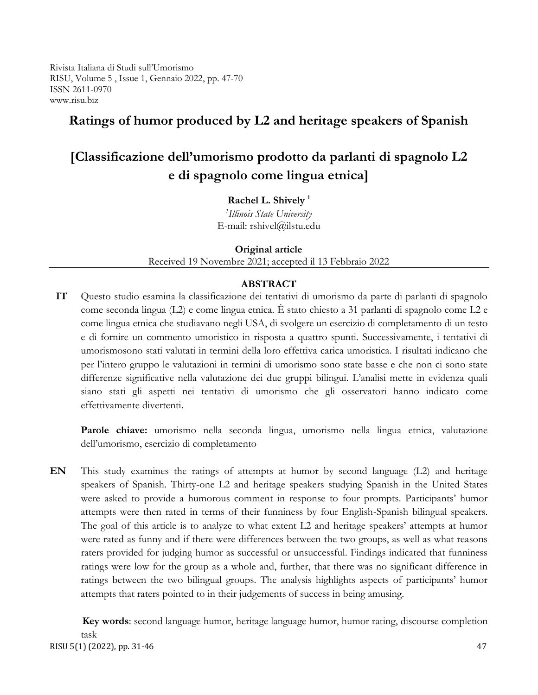Rivista Italiana di Studi sull'Umorismo RISU, Volume 5 , Issue 1, Gennaio 2022, pp. 47-70 ISSN 2611-0970 www.risu.biz

# **Ratings of humor produced by L2 and heritage speakers of Spanish**

# **[Classificazione dell'umorismo prodotto da parlanti di spagnolo L2 e di spagnolo come lingua etnica]**

**Rachel L. Shively <sup>1</sup>**

*1 Illinois State University* E-mail: [rshivel@ilstu.edu](mailto:rshivel@ilstu.edu)

**Original article**

Received 19 Novembre 2021; accepted il 13 Febbraio 2022

# **ABSTRACT**

**IT** Questo studio esamina la classificazione dei tentativi di umorismo da parte di parlanti di spagnolo come seconda lingua (L2) e come lingua etnica. È stato chiesto a 31 parlanti di spagnolo come L2 e come lingua etnica che studiavano negli USA, di svolgere un esercizio di completamento di un testo e di fornire un commento umoristico in risposta a quattro spunti. Successivamente, i tentativi di umorismosono stati valutati in termini della loro effettiva carica umoristica. I risultati indicano che per l'intero gruppo le valutazioni in termini di umorismo sono state basse e che non ci sono state differenze significative nella valutazione dei due gruppi bilingui. L'analisi mette in evidenza quali siano stati gli aspetti nei tentativi di umorismo che gli osservatori hanno indicato come effettivamente divertenti.

Parole chiave: umorismo nella seconda lingua, umorismo nella lingua etnica, valutazione dell'umorismo, esercizio di completamento

**EN** This study examines the ratings of attempts at humor by second language (L2) and heritage speakers of Spanish. Thirty-one L2 and heritage speakers studying Spanish in the United States were asked to provide a humorous comment in response to four prompts. Participants' humor attempts were then rated in terms of their funniness by four English-Spanish bilingual speakers. The goal of this article is to analyze to what extent L2 and heritage speakers' attempts at humor were rated as funny and if there were differences between the two groups, as well as what reasons raters provided for judging humor as successful or unsuccessful. Findings indicated that funniness ratings were low for the group as a whole and, further, that there was no significant difference in ratings between the two bilingual groups. The analysis highlights aspects of participants' humor attempts that raters pointed to in their judgements of success in being amusing.

RISU 5(1) (2022), pp. 31-46 47 **Key words**: second language humor, heritage language humor, humor rating, discourse completion task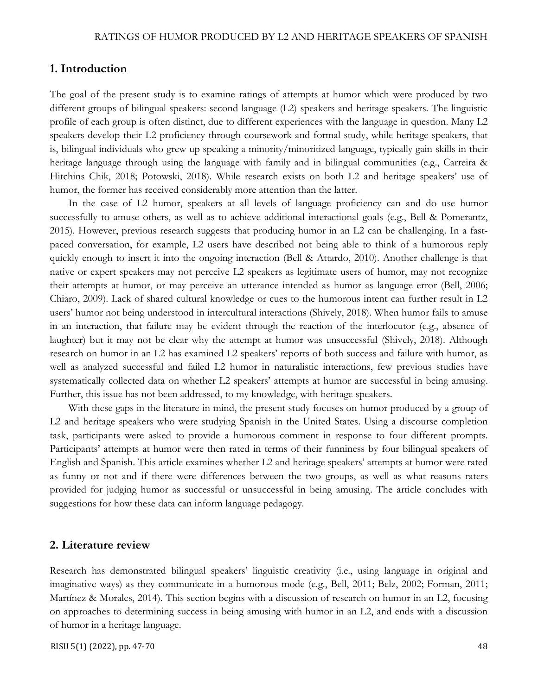#### **1. Introduction**

The goal of the present study is to examine ratings of attempts at humor which were produced by two different groups of bilingual speakers: second language (L2) speakers and heritage speakers. The linguistic profile of each group is often distinct, due to different experiences with the language in question. Many L2 speakers develop their L2 proficiency through coursework and formal study, while heritage speakers, that is, bilingual individuals who grew up speaking a minority/minoritized language, typically gain skills in their heritage language through using the language with family and in bilingual communities (e.g., Carreira & Hitchins Chik, 2018; Potowski, 2018). While research exists on both L2 and heritage speakers' use of humor, the former has received considerably more attention than the latter.

In the case of L2 humor, speakers at all levels of language proficiency can and do use humor successfully to amuse others, as well as to achieve additional interactional goals (e.g., Bell & Pomerantz, 2015). However, previous research suggests that producing humor in an L2 can be challenging. In a fastpaced conversation, for example, L2 users have described not being able to think of a humorous reply quickly enough to insert it into the ongoing interaction (Bell & Attardo, 2010). Another challenge is that native or expert speakers may not perceive L2 speakers as legitimate users of humor, may not recognize their attempts at humor, or may perceive an utterance intended as humor as language error (Bell, 2006; Chiaro, 2009). Lack of shared cultural knowledge or cues to the humorous intent can further result in L2 users' humor not being understood in intercultural interactions (Shively, 2018). When humor fails to amuse in an interaction, that failure may be evident through the reaction of the interlocutor (e.g., absence of laughter) but it may not be clear why the attempt at humor was unsuccessful (Shively, 2018). Although research on humor in an L2 has examined L2 speakers' reports of both success and failure with humor, as well as analyzed successful and failed L2 humor in naturalistic interactions, few previous studies have systematically collected data on whether L2 speakers' attempts at humor are successful in being amusing. Further, this issue has not been addressed, to my knowledge, with heritage speakers.

With these gaps in the literature in mind, the present study focuses on humor produced by a group of L2 and heritage speakers who were studying Spanish in the United States. Using a discourse completion task, participants were asked to provide a humorous comment in response to four different prompts. Participants' attempts at humor were then rated in terms of their funniness by four bilingual speakers of English and Spanish. This article examines whether L2 and heritage speakers' attempts at humor were rated as funny or not and if there were differences between the two groups, as well as what reasons raters provided for judging humor as successful or unsuccessful in being amusing. The article concludes with suggestions for how these data can inform language pedagogy.

# **2. Literature review**

Research has demonstrated bilingual speakers' linguistic creativity (i.e., using language in original and imaginative ways) as they communicate in a humorous mode (e.g., Bell, 2011; Belz, 2002; Forman, 2011; Martínez & Morales, 2014). This section begins with a discussion of research on humor in an L2, focusing on approaches to determining success in being amusing with humor in an L2, and ends with a discussion of humor in a heritage language.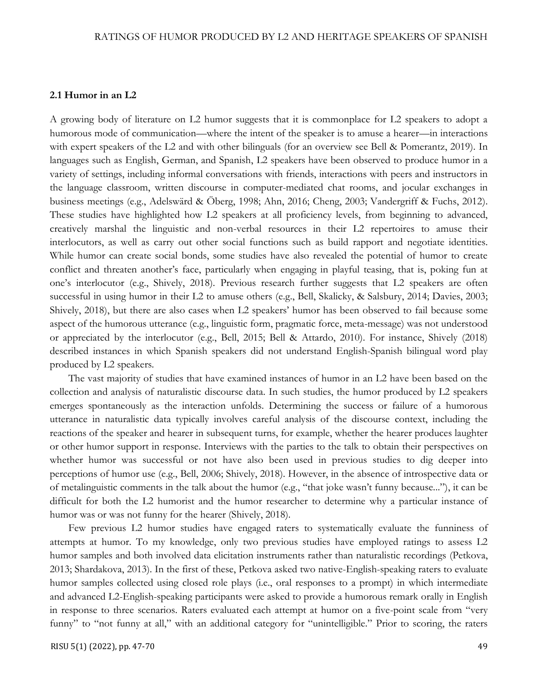#### **2.1 Humor in an L2**

A growing body of literature on L2 humor suggests that it is commonplace for L2 speakers to adopt a humorous mode of communication—where the intent of the speaker is to amuse a hearer—in interactions with expert speakers of the L2 and with other bilinguals (for an overview see Bell & Pomerantz, 2019). In languages such as English, German, and Spanish, L2 speakers have been observed to produce humor in a variety of settings, including informal conversations with friends, interactions with peers and instructors in the language classroom, written discourse in computer-mediated chat rooms, and jocular exchanges in business meetings (e.g., Adelswärd & Öberg, 1998; Ahn, 2016; Cheng, 2003; Vandergriff & Fuchs, 2012). These studies have highlighted how L2 speakers at all proficiency levels, from beginning to advanced, creatively marshal the linguistic and non-verbal resources in their L2 repertoires to amuse their interlocutors, as well as carry out other social functions such as build rapport and negotiate identities. While humor can create social bonds, some studies have also revealed the potential of humor to create conflict and threaten another's face, particularly when engaging in playful teasing, that is, poking fun at one's interlocutor (e.g., Shively, 2018). Previous research further suggests that L2 speakers are often successful in using humor in their L2 to amuse others (e.g., Bell, Skalicky, & Salsbury, 2014; Davies, 2003; Shively, 2018), but there are also cases when L2 speakers' humor has been observed to fail because some aspect of the humorous utterance (e.g., linguistic form, pragmatic force, meta-message) was not understood or appreciated by the interlocutor (e.g., Bell, 2015; Bell & Attardo, 2010). For instance, Shively (2018) described instances in which Spanish speakers did not understand English-Spanish bilingual word play produced by L2 speakers.

The vast majority of studies that have examined instances of humor in an L2 have been based on the collection and analysis of naturalistic discourse data. In such studies, the humor produced by L2 speakers emerges spontaneously as the interaction unfolds. Determining the success or failure of a humorous utterance in naturalistic data typically involves careful analysis of the discourse context, including the reactions of the speaker and hearer in subsequent turns, for example, whether the hearer produces laughter or other humor support in response. Interviews with the parties to the talk to obtain their perspectives on whether humor was successful or not have also been used in previous studies to dig deeper into perceptions of humor use (e.g., Bell, 2006; Shively, 2018). However, in the absence of introspective data or of metalinguistic comments in the talk about the humor (e.g., "that joke wasn't funny because..."), it can be difficult for both the L2 humorist and the humor researcher to determine why a particular instance of humor was or was not funny for the hearer (Shively, 2018).

Few previous L2 humor studies have engaged raters to systematically evaluate the funniness of attempts at humor. To my knowledge, only two previous studies have employed ratings to assess L2 humor samples and both involved data elicitation instruments rather than naturalistic recordings (Petkova, 2013; Shardakova, 2013). In the first of these, Petkova asked two native-English-speaking raters to evaluate humor samples collected using closed role plays (i.e., oral responses to a prompt) in which intermediate and advanced L2-English-speaking participants were asked to provide a humorous remark orally in English in response to three scenarios. Raters evaluated each attempt at humor on a five-point scale from "very funny" to "not funny at all," with an additional category for "unintelligible." Prior to scoring, the raters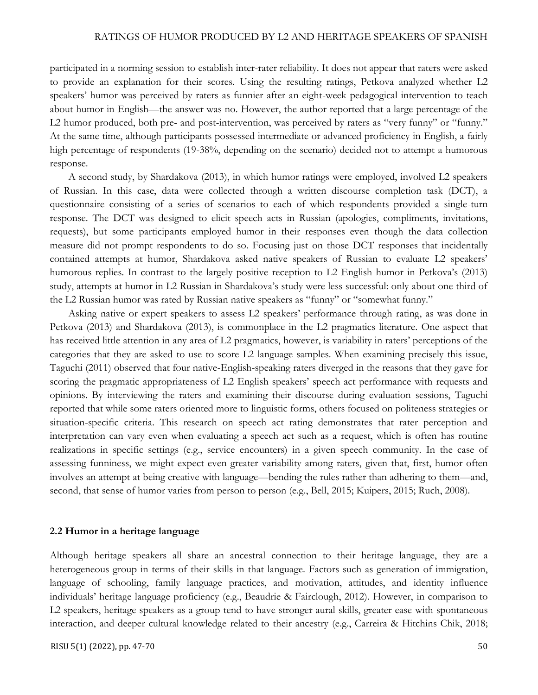participated in a norming session to establish inter-rater reliability. It does not appear that raters were asked to provide an explanation for their scores. Using the resulting ratings, Petkova analyzed whether L2 speakers' humor was perceived by raters as funnier after an eight-week pedagogical intervention to teach about humor in English—the answer was no. However, the author reported that a large percentage of the L2 humor produced, both pre- and post-intervention, was perceived by raters as "very funny" or "funny." At the same time, although participants possessed intermediate or advanced proficiency in English, a fairly high percentage of respondents (19-38%, depending on the scenario) decided not to attempt a humorous response.

A second study, by Shardakova (2013), in which humor ratings were employed, involved L2 speakers of Russian. In this case, data were collected through a written discourse completion task (DCT), a questionnaire consisting of a series of scenarios to each of which respondents provided a single-turn response. The DCT was designed to elicit speech acts in Russian (apologies, compliments, invitations, requests), but some participants employed humor in their responses even though the data collection measure did not prompt respondents to do so. Focusing just on those DCT responses that incidentally contained attempts at humor, Shardakova asked native speakers of Russian to evaluate L2 speakers' humorous replies. In contrast to the largely positive reception to L2 English humor in Petkova's (2013) study, attempts at humor in L2 Russian in Shardakova's study were less successful: only about one third of the L2 Russian humor was rated by Russian native speakers as "funny" or "somewhat funny."

Asking native or expert speakers to assess L2 speakers' performance through rating, as was done in Petkova (2013) and Shardakova (2013), is commonplace in the L2 pragmatics literature. One aspect that has received little attention in any area of L2 pragmatics, however, is variability in raters' perceptions of the categories that they are asked to use to score L2 language samples. When examining precisely this issue, Taguchi (2011) observed that four native-English-speaking raters diverged in the reasons that they gave for scoring the pragmatic appropriateness of L2 English speakers' speech act performance with requests and opinions. By interviewing the raters and examining their discourse during evaluation sessions, Taguchi reported that while some raters oriented more to linguistic forms, others focused on politeness strategies or situation-specific criteria. This research on speech act rating demonstrates that rater perception and interpretation can vary even when evaluating a speech act such as a request, which is often has routine realizations in specific settings (e.g., service encounters) in a given speech community. In the case of assessing funniness, we might expect even greater variability among raters, given that, first, humor often involves an attempt at being creative with language—bending the rules rather than adhering to them—and, second, that sense of humor varies from person to person (e.g., Bell, 2015; Kuipers, 2015; Ruch, 2008).

#### **2.2 Humor in a heritage language**

Although heritage speakers all share an ancestral connection to their heritage language, they are a heterogeneous group in terms of their skills in that language. Factors such as generation of immigration, language of schooling, family language practices, and motivation, attitudes, and identity influence individuals' heritage language proficiency (e.g., Beaudrie & Fairclough, 2012). However, in comparison to L2 speakers, heritage speakers as a group tend to have stronger aural skills, greater ease with spontaneous interaction, and deeper cultural knowledge related to their ancestry (e.g., Carreira & Hitchins Chik, 2018;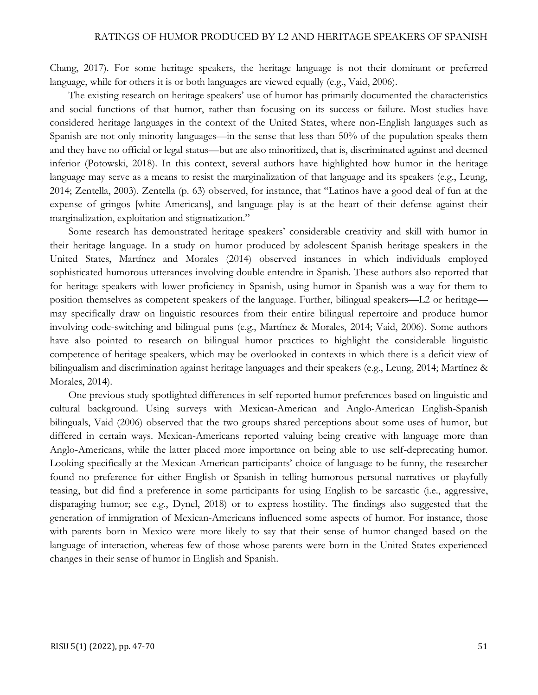Chang, 2017). For some heritage speakers, the heritage language is not their dominant or preferred language, while for others it is or both languages are viewed equally (e.g., Vaid, 2006).

The existing research on heritage speakers' use of humor has primarily documented the characteristics and social functions of that humor, rather than focusing on its success or failure. Most studies have considered heritage languages in the context of the United States, where non-English languages such as Spanish are not only minority languages—in the sense that less than 50% of the population speaks them and they have no official or legal status—but are also minoritized, that is, discriminated against and deemed inferior (Potowski, 2018). In this context, several authors have highlighted how humor in the heritage language may serve as a means to resist the marginalization of that language and its speakers (e.g., Leung, 2014; Zentella, 2003). Zentella (p. 63) observed, for instance, that "Latinos have a good deal of fun at the expense of gringos [white Americans], and language play is at the heart of their defense against their marginalization, exploitation and stigmatization."

Some research has demonstrated heritage speakers' considerable creativity and skill with humor in their heritage language. In a study on humor produced by adolescent Spanish heritage speakers in the United States, Martínez and Morales (2014) observed instances in which individuals employed sophisticated humorous utterances involving double entendre in Spanish. These authors also reported that for heritage speakers with lower proficiency in Spanish, using humor in Spanish was a way for them to position themselves as competent speakers of the language. Further, bilingual speakers—L2 or heritage may specifically draw on linguistic resources from their entire bilingual repertoire and produce humor involving code-switching and bilingual puns (e.g., Martínez & Morales, 2014; Vaid, 2006). Some authors have also pointed to research on bilingual humor practices to highlight the considerable linguistic competence of heritage speakers, which may be overlooked in contexts in which there is a deficit view of bilingualism and discrimination against heritage languages and their speakers (e.g., Leung, 2014; Martínez & Morales, 2014).

One previous study spotlighted differences in self-reported humor preferences based on linguistic and cultural background. Using surveys with Mexican-American and Anglo-American English-Spanish bilinguals, Vaid (2006) observed that the two groups shared perceptions about some uses of humor, but differed in certain ways. Mexican-Americans reported valuing being creative with language more than Anglo-Americans, while the latter placed more importance on being able to use self-deprecating humor. Looking specifically at the Mexican-American participants' choice of language to be funny, the researcher found no preference for either English or Spanish in telling humorous personal narratives or playfully teasing, but did find a preference in some participants for using English to be sarcastic (i.e., aggressive, disparaging humor; see e.g., Dynel, 2018) or to express hostility. The findings also suggested that the generation of immigration of Mexican-Americans influenced some aspects of humor. For instance, those with parents born in Mexico were more likely to say that their sense of humor changed based on the language of interaction, whereas few of those whose parents were born in the United States experienced changes in their sense of humor in English and Spanish.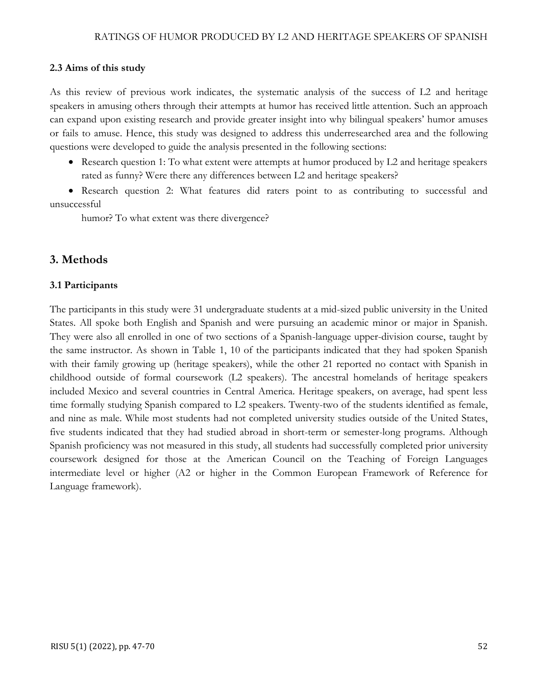# **2.3 Aims of this study**

As this review of previous work indicates, the systematic analysis of the success of L2 and heritage speakers in amusing others through their attempts at humor has received little attention. Such an approach can expand upon existing research and provide greater insight into why bilingual speakers' humor amuses or fails to amuse. Hence, this study was designed to address this underresearched area and the following questions were developed to guide the analysis presented in the following sections:

• Research question 1: To what extent were attempts at humor produced by L2 and heritage speakers rated as funny? Were there any differences between L2 and heritage speakers?

• Research question 2: What features did raters point to as contributing to successful and unsuccessful

humor? To what extent was there divergence?

# **3. Methods**

### **3.1 Participants**

The participants in this study were 31 undergraduate students at a mid-sized public university in the United States. All spoke both English and Spanish and were pursuing an academic minor or major in Spanish. They were also all enrolled in one of two sections of a Spanish-language upper-division course, taught by the same instructor. As shown in Table 1, 10 of the participants indicated that they had spoken Spanish with their family growing up (heritage speakers), while the other 21 reported no contact with Spanish in childhood outside of formal coursework (L2 speakers). The ancestral homelands of heritage speakers included Mexico and several countries in Central America. Heritage speakers, on average, had spent less time formally studying Spanish compared to L2 speakers. Twenty-two of the students identified as female, and nine as male. While most students had not completed university studies outside of the United States, five students indicated that they had studied abroad in short-term or semester-long programs. Although Spanish proficiency was not measured in this study, all students had successfully completed prior university coursework designed for those at the American Council on the Teaching of Foreign Languages intermediate level or higher (A2 or higher in the Common European Framework of Reference for Language framework).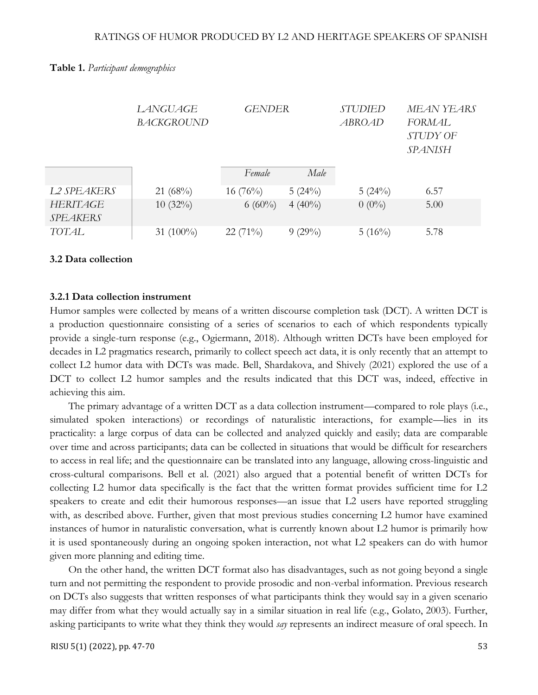|                             | LANGUAGE<br><b>BACKGROUND</b> | <b>GENDER</b> |           | <b>STUDIED</b><br>ABROAD | MEAN YEARS<br>FORMAL<br>STUDY OF<br><b>SPANISH</b> |  |
|-----------------------------|-------------------------------|---------------|-----------|--------------------------|----------------------------------------------------|--|
|                             |                               | Female        | Male      |                          |                                                    |  |
| L2 SPEAKERS                 | $21~(68\%)$                   | $16(76\%)$    | 5(24%)    | 5(24%)                   | 6.57                                               |  |
| HERITAGE<br><b>SPEAKERS</b> | $10(32\%)$                    | $6(60\%)$     | $4(40\%)$ | $0(0\%)$                 | 5.00                                               |  |
| <b>TOTAL</b>                | 31 $(100\%)$                  | $22(71\%)$    | $9(29\%)$ | $5(16\%)$                | 5.78                                               |  |

#### **Table 1.** *Participant demographics*

#### **3.2 Data collection**

#### **3.2.1 Data collection instrument**

Humor samples were collected by means of a written discourse completion task (DCT). A written DCT is a production questionnaire consisting of a series of scenarios to each of which respondents typically provide a single-turn response (e.g., Ogiermann, 2018). Although written DCTs have been employed for decades in L2 pragmatics research, primarily to collect speech act data, it is only recently that an attempt to collect L2 humor data with DCTs was made. Bell, Shardakova, and Shively (2021) explored the use of a DCT to collect L2 humor samples and the results indicated that this DCT was, indeed, effective in achieving this aim.

The primary advantage of a written DCT as a data collection instrument—compared to role plays (i.e., simulated spoken interactions) or recordings of naturalistic interactions, for example—lies in its practicality: a large corpus of data can be collected and analyzed quickly and easily; data are comparable over time and across participants; data can be collected in situations that would be difficult for researchers to access in real life; and the questionnaire can be translated into any language, allowing cross-linguistic and cross-cultural comparisons. Bell et al. (2021) also argued that a potential benefit of written DCTs for collecting L2 humor data specifically is the fact that the written format provides sufficient time for L2 speakers to create and edit their humorous responses—an issue that L2 users have reported struggling with, as described above. Further, given that most previous studies concerning L2 humor have examined instances of humor in naturalistic conversation, what is currently known about L2 humor is primarily how it is used spontaneously during an ongoing spoken interaction, not what L2 speakers can do with humor given more planning and editing time.

On the other hand, the written DCT format also has disadvantages, such as not going beyond a single turn and not permitting the respondent to provide prosodic and non-verbal information. Previous research on DCTs also suggests that written responses of what participants think they would say in a given scenario may differ from what they would actually say in a similar situation in real life (e.g., Golato, 2003). Further, asking participants to write what they think they would *say* represents an indirect measure of oral speech. In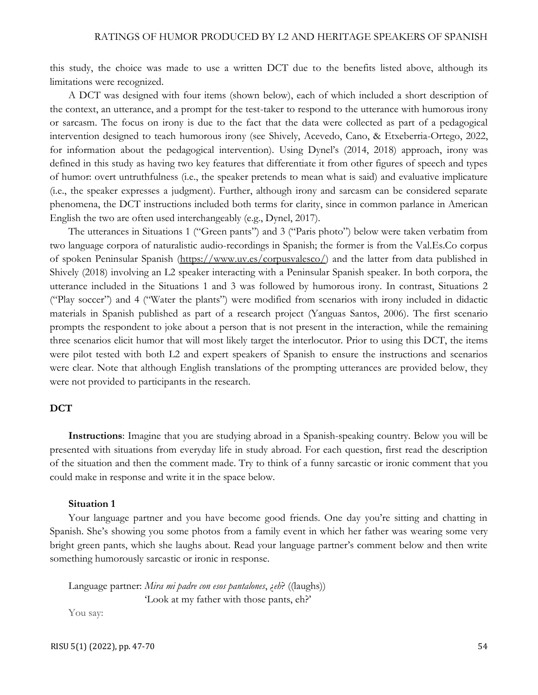this study, the choice was made to use a written DCT due to the benefits listed above, although its limitations were recognized.

A DCT was designed with four items (shown below), each of which included a short description of the context, an utterance, and a prompt for the test-taker to respond to the utterance with humorous irony or sarcasm. The focus on irony is due to the fact that the data were collected as part of a pedagogical intervention designed to teach humorous irony (see Shively, Acevedo, Cano, & Etxeberria-Ortego, 2022, for information about the pedagogical intervention). Using Dynel's (2014, 2018) approach, irony was defined in this study as having two key features that differentiate it from other figures of speech and types of humor: overt untruthfulness (i.e., the speaker pretends to mean what is said) and evaluative implicature (i.e., the speaker expresses a judgment). Further, although irony and sarcasm can be considered separate phenomena, the DCT instructions included both terms for clarity, since in common parlance in American English the two are often used interchangeably (e.g., Dynel, 2017).

The utterances in Situations 1 ("Green pants") and 3 ("Paris photo") below were taken verbatim from two language corpora of naturalistic audio-recordings in Spanish; the former is from the Val.Es.Co corpus of spoken Peninsular Spanish [\(https://www.uv.es/corpusvalesco/\)](https://www.uv.es/corpusvalesco/) and the latter from data published in Shively (2018) involving an L2 speaker interacting with a Peninsular Spanish speaker. In both corpora, the utterance included in the Situations 1 and 3 was followed by humorous irony. In contrast, Situations 2 ("Play soccer") and 4 ("Water the plants") were modified from scenarios with irony included in didactic materials in Spanish published as part of a research project (Yanguas Santos, 2006). The first scenario prompts the respondent to joke about a person that is not present in the interaction, while the remaining three scenarios elicit humor that will most likely target the interlocutor. Prior to using this DCT, the items were pilot tested with both L2 and expert speakers of Spanish to ensure the instructions and scenarios were clear. Note that although English translations of the prompting utterances are provided below, they were not provided to participants in the research.

#### **DCT**

**Instructions**: Imagine that you are studying abroad in a Spanish-speaking country. Below you will be presented with situations from everyday life in study abroad. For each question, first read the description of the situation and then the comment made. Try to think of a funny sarcastic or ironic comment that you could make in response and write it in the space below.

#### **Situation 1**

Your language partner and you have become good friends. One day you're sitting and chatting in Spanish. She's showing you some photos from a family event in which her father was wearing some very bright green pants, which she laughs about. Read your language partner's comment below and then write something humorously sarcastic or ironic in response.

Language partner: *Mira mi padre con esos pantalones*, ¿*eh*? ((laughs)) 'Look at my father with those pants, eh?'

You say: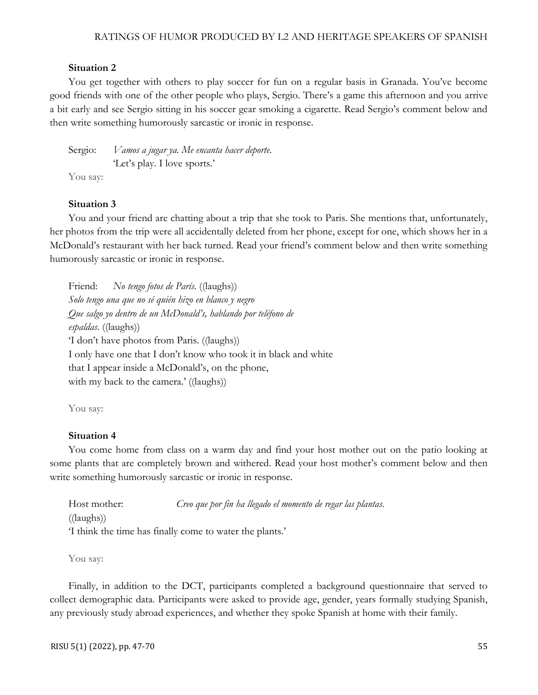#### **Situation 2**

You get together with others to play soccer for fun on a regular basis in Granada. You've become good friends with one of the other people who plays, Sergio. There's a game this afternoon and you arrive a bit early and see Sergio sitting in his soccer gear smoking a cigarette. Read Sergio's comment below and then write something humorously sarcastic or ironic in response.

Sergio: *Vamos a jugar ya. Me encanta hacer deporte*. 'Let's play. I love sports.' You say:

#### **Situation 3**

You and your friend are chatting about a trip that she took to Paris. She mentions that, unfortunately, her photos from the trip were all accidentally deleted from her phone, except for one, which shows her in a McDonald's restaurant with her back turned. Read your friend's comment below and then write something humorously sarcastic or ironic in response.

Friend: *No tengo fotos de París*. ((laughs)) *Solo tengo una que no sé quién hizo en blanco y negro Que salgo yo dentro de un McDonald's, hablando por teléfono de espaldas*. ((laughs)) 'I don't have photos from Paris. ((laughs)) I only have one that I don't know who took it in black and white that I appear inside a McDonald's, on the phone, with my back to the camera.' ((laughs))

You say:

#### **Situation 4**

You come home from class on a warm day and find your host mother out on the patio looking at some plants that are completely brown and withered. Read your host mother's comment below and then write something humorously sarcastic or ironic in response.

| Host mother:                                            | Creo que por fin ha llegado el momento de regar las plantas. |  |
|---------------------------------------------------------|--------------------------------------------------------------|--|
| $((\text{laughs}))$                                     |                                                              |  |
| I think the time has finally come to water the plants.' |                                                              |  |

You say:

Finally, in addition to the DCT, participants completed a background questionnaire that served to collect demographic data. Participants were asked to provide age, gender, years formally studying Spanish, any previously study abroad experiences, and whether they spoke Spanish at home with their family.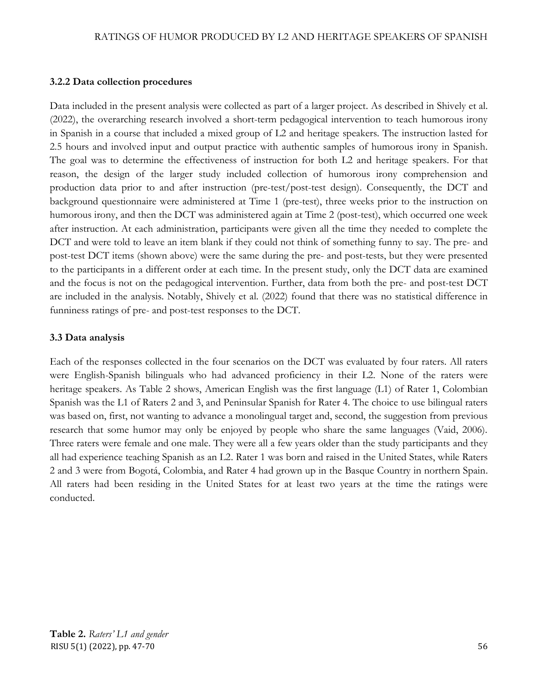## **3.2.2 Data collection procedures**

Data included in the present analysis were collected as part of a larger project. As described in Shively et al. (2022), the overarching research involved a short-term pedagogical intervention to teach humorous irony in Spanish in a course that included a mixed group of L2 and heritage speakers. The instruction lasted for 2.5 hours and involved input and output practice with authentic samples of humorous irony in Spanish. The goal was to determine the effectiveness of instruction for both L2 and heritage speakers. For that reason, the design of the larger study included collection of humorous irony comprehension and production data prior to and after instruction (pre-test/post-test design). Consequently, the DCT and background questionnaire were administered at Time 1 (pre-test), three weeks prior to the instruction on humorous irony, and then the DCT was administered again at Time 2 (post-test), which occurred one week after instruction. At each administration, participants were given all the time they needed to complete the DCT and were told to leave an item blank if they could not think of something funny to say. The pre- and post-test DCT items (shown above) were the same during the pre- and post-tests, but they were presented to the participants in a different order at each time. In the present study, only the DCT data are examined and the focus is not on the pedagogical intervention. Further, data from both the pre- and post-test DCT are included in the analysis. Notably, Shively et al. (2022) found that there was no statistical difference in funniness ratings of pre- and post-test responses to the DCT.

# **3.3 Data analysis**

Each of the responses collected in the four scenarios on the DCT was evaluated by four raters. All raters were English-Spanish bilinguals who had advanced proficiency in their L2. None of the raters were heritage speakers. As Table 2 shows, American English was the first language (L1) of Rater 1, Colombian Spanish was the L1 of Raters 2 and 3, and Peninsular Spanish for Rater 4. The choice to use bilingual raters was based on, first, not wanting to advance a monolingual target and, second, the suggestion from previous research that some humor may only be enjoyed by people who share the same languages (Vaid, 2006). Three raters were female and one male. They were all a few years older than the study participants and they all had experience teaching Spanish as an L2. Rater 1 was born and raised in the United States, while Raters 2 and 3 were from Bogotá, Colombia, and Rater 4 had grown up in the Basque Country in northern Spain. All raters had been residing in the United States for at least two years at the time the ratings were conducted.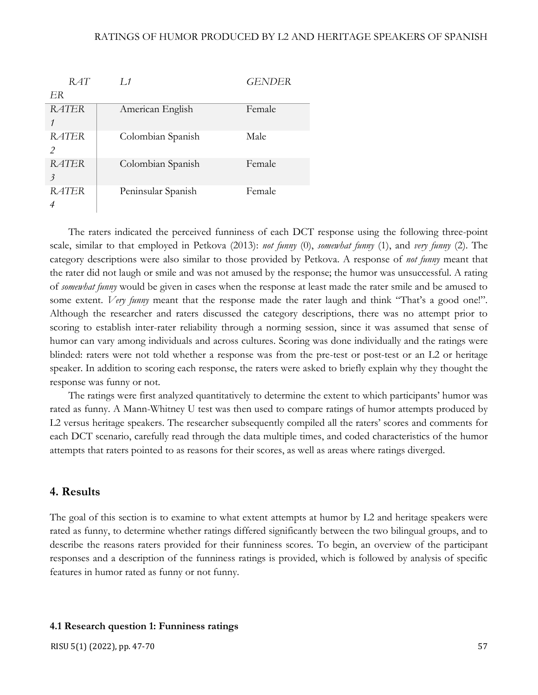| RAT                                      | $L_1$              | <b>GENDER</b> |
|------------------------------------------|--------------------|---------------|
| ER                                       |                    |               |
| <b>RATER</b>                             | American English   | Female        |
| <b>RATER</b><br>$\mathcal{P}$            | Colombian Spanish  | Male          |
| <b>RATER</b><br>$\overline{\mathcal{E}}$ | Colombian Spanish  | Female        |
| RATER                                    | Peninsular Spanish | Female        |

The raters indicated the perceived funniness of each DCT response using the following three-point scale, similar to that employed in Petkova (2013): *not funny* (0), *somewhat funny* (1), and *very funny* (2). The category descriptions were also similar to those provided by Petkova. A response of *not funny* meant that the rater did not laugh or smile and was not amused by the response; the humor was unsuccessful. A rating of *somewhat funny* would be given in cases when the response at least made the rater smile and be amused to some extent. *Very funny* meant that the response made the rater laugh and think "That's a good one!". Although the researcher and raters discussed the category descriptions, there was no attempt prior to scoring to establish inter-rater reliability through a norming session, since it was assumed that sense of humor can vary among individuals and across cultures. Scoring was done individually and the ratings were blinded: raters were not told whether a response was from the pre-test or post-test or an L2 or heritage speaker. In addition to scoring each response, the raters were asked to briefly explain why they thought the response was funny or not.

The ratings were first analyzed quantitatively to determine the extent to which participants' humor was rated as funny. A Mann-Whitney U test was then used to compare ratings of humor attempts produced by L2 versus heritage speakers. The researcher subsequently compiled all the raters' scores and comments for each DCT scenario, carefully read through the data multiple times, and coded characteristics of the humor attempts that raters pointed to as reasons for their scores, as well as areas where ratings diverged.

# **4. Results**

The goal of this section is to examine to what extent attempts at humor by L2 and heritage speakers were rated as funny, to determine whether ratings differed significantly between the two bilingual groups, and to describe the reasons raters provided for their funniness scores. To begin, an overview of the participant responses and a description of the funniness ratings is provided, which is followed by analysis of specific features in humor rated as funny or not funny.

# **4.1 Research question 1: Funniness ratings**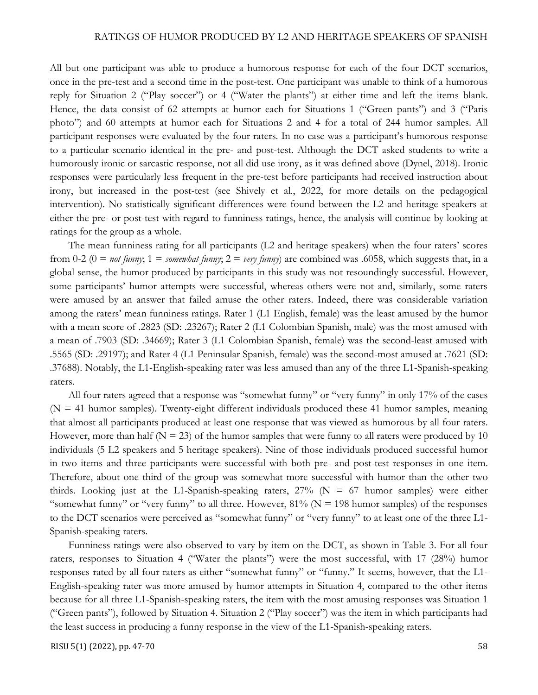All but one participant was able to produce a humorous response for each of the four DCT scenarios, once in the pre-test and a second time in the post-test. One participant was unable to think of a humorous reply for Situation 2 ("Play soccer") or 4 ("Water the plants") at either time and left the items blank. Hence, the data consist of 62 attempts at humor each for Situations 1 ("Green pants") and 3 ("Paris photo") and 60 attempts at humor each for Situations 2 and 4 for a total of 244 humor samples. All participant responses were evaluated by the four raters. In no case was a participant's humorous response to a particular scenario identical in the pre- and post-test. Although the DCT asked students to write a humorously ironic or sarcastic response, not all did use irony, as it was defined above (Dynel, 2018). Ironic responses were particularly less frequent in the pre-test before participants had received instruction about irony, but increased in the post-test (see Shively et al., 2022, for more details on the pedagogical intervention). No statistically significant differences were found between the L2 and heritage speakers at either the pre- or post-test with regard to funniness ratings, hence, the analysis will continue by looking at ratings for the group as a whole.

The mean funniness rating for all participants (L2 and heritage speakers) when the four raters' scores from 0-2 (0 = *not funny*; 1 = *somewhat funny*; 2 = *very funny*) are combined was .6058, which suggests that, in a global sense, the humor produced by participants in this study was not resoundingly successful. However, some participants' humor attempts were successful, whereas others were not and, similarly, some raters were amused by an answer that failed amuse the other raters. Indeed, there was considerable variation among the raters' mean funniness ratings. Rater 1 (L1 English, female) was the least amused by the humor with a mean score of .2823 (SD: .23267); Rater 2 (L1 Colombian Spanish, male) was the most amused with a mean of .7903 (SD: .34669); Rater 3 (L1 Colombian Spanish, female) was the second-least amused with .5565 (SD: .29197); and Rater 4 (L1 Peninsular Spanish, female) was the second-most amused at .7621 (SD: .37688). Notably, the L1-English-speaking rater was less amused than any of the three L1-Spanish-speaking raters.

All four raters agreed that a response was "somewhat funny" or "very funny" in only 17% of the cases  $(N = 41$  humor samples). Twenty-eight different individuals produced these 41 humor samples, meaning that almost all participants produced at least one response that was viewed as humorous by all four raters. However, more than half ( $N = 23$ ) of the humor samples that were funny to all raters were produced by 10 individuals (5 L2 speakers and 5 heritage speakers). Nine of those individuals produced successful humor in two items and three participants were successful with both pre- and post-test responses in one item. Therefore, about one third of the group was somewhat more successful with humor than the other two thirds. Looking just at the L1-Spanish-speaking raters,  $27\%$  (N = 67 humor samples) were either "somewhat funny" or "very funny" to all three. However,  $81\%$  (N = 198 humor samples) of the responses to the DCT scenarios were perceived as "somewhat funny" or "very funny" to at least one of the three L1- Spanish-speaking raters.

Funniness ratings were also observed to vary by item on the DCT, as shown in Table 3. For all four raters, responses to Situation 4 ("Water the plants") were the most successful, with 17 (28%) humor responses rated by all four raters as either "somewhat funny" or "funny." It seems, however, that the L1- English-speaking rater was more amused by humor attempts in Situation 4, compared to the other items because for all three L1-Spanish-speaking raters, the item with the most amusing responses was Situation 1 ("Green pants"), followed by Situation 4. Situation 2 ("Play soccer") was the item in which participants had the least success in producing a funny response in the view of the L1-Spanish-speaking raters.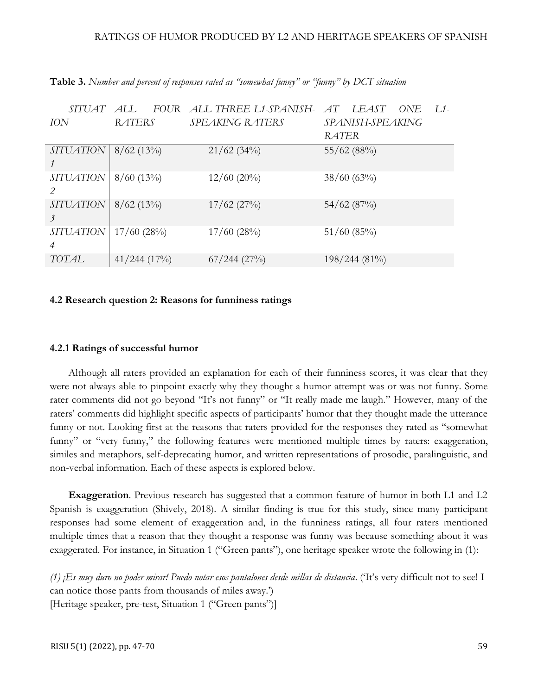| <i>SITUAT</i>    | <i>FOUR</i><br>AI. | ALL THREE L1-SPANISH-  | LEAST<br>ONE<br>AT<br>$1.1-$ |  |  |  |  |
|------------------|--------------------|------------------------|------------------------------|--|--|--|--|
| ION              | <b>RATERS</b>      | <b>SPEAKING RATERS</b> | SPANISH-SPEAKING             |  |  |  |  |
|                  |                    |                        | <b>RATER</b>                 |  |  |  |  |
| <b>SITUATION</b> | $8/62(13\%)$       | 21/62(34%)             | 55/62(88%)                   |  |  |  |  |
|                  |                    |                        |                              |  |  |  |  |
| <b>SITUATION</b> | $8/60$ (13%)       | $12/60$ (20%)          | 38/60(63%)                   |  |  |  |  |
|                  |                    |                        |                              |  |  |  |  |
| <b>SITUATION</b> | $8/62(13\%)$       | $17/62$ (27%)          | 54/62(87%)                   |  |  |  |  |
| 3                |                    |                        |                              |  |  |  |  |
| <b>SITUATION</b> | $17/60$ (28%)      | $17/60$ (28%)          | 51/60(85%)                   |  |  |  |  |
| $\overline{4}$   |                    |                        |                              |  |  |  |  |
| TOTAL            | $41/244$ (17%)     | $67/244$ (27%)         | $198/244(81\%)$              |  |  |  |  |

**Table 3.** *Number and percent of responses rated as "somewhat funny" or "funny" by DCT situation*

### **4.2 Research question 2: Reasons for funniness ratings**

#### **4.2.1 Ratings of successful humor**

Although all raters provided an explanation for each of their funniness scores, it was clear that they were not always able to pinpoint exactly why they thought a humor attempt was or was not funny. Some rater comments did not go beyond "It's not funny" or "It really made me laugh." However, many of the raters' comments did highlight specific aspects of participants' humor that they thought made the utterance funny or not. Looking first at the reasons that raters provided for the responses they rated as "somewhat funny" or "very funny," the following features were mentioned multiple times by raters: exaggeration, similes and metaphors, self-deprecating humor, and written representations of prosodic, paralinguistic, and non-verbal information. Each of these aspects is explored below.

**Exaggeration**. Previous research has suggested that a common feature of humor in both L1 and L2 Spanish is exaggeration (Shively, 2018). A similar finding is true for this study, since many participant responses had some element of exaggeration and, in the funniness ratings, all four raters mentioned multiple times that a reason that they thought a response was funny was because something about it was exaggerated. For instance, in Situation 1 ("Green pants"), one heritage speaker wrote the following in (1):

*(1) ¡Es muy duro no poder mirar! Puedo notar esos pantalones desde millas de distancia*. ('It's very difficult not to see! I can notice those pants from thousands of miles away.') [Heritage speaker, pre-test, Situation 1 ("Green pants")]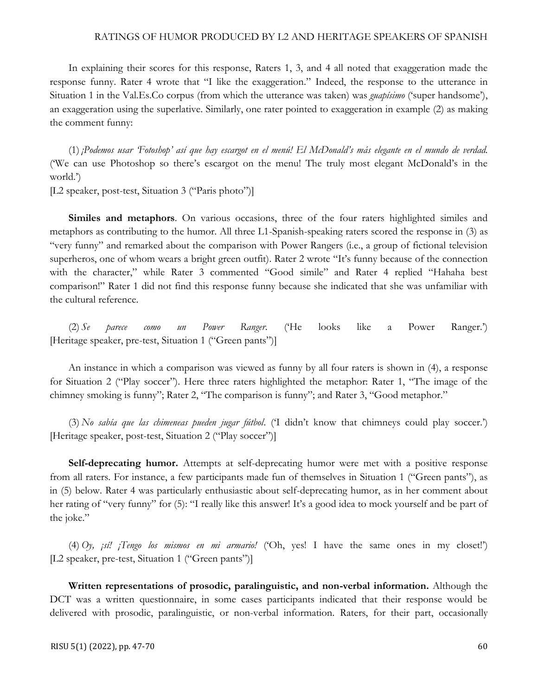In explaining their scores for this response, Raters 1, 3, and 4 all noted that exaggeration made the response funny. Rater 4 wrote that "I like the exaggeration." Indeed, the response to the utterance in Situation 1 in the Val.Es.Co corpus (from which the utterance was taken) was *guapísimo* ('super handsome'), an exaggeration using the superlative. Similarly, one rater pointed to exaggeration in example (2) as making the comment funny:

(1) *¡Podemos usar 'Fotoshop' así que hay escargot en el menú! El McDonald's más elegante en el mundo de verdad.* ('We can use Photoshop so there's escargot on the menu! The truly most elegant McDonald's in the world.')

[L2 speaker, post-test, Situation 3 ("Paris photo")]

**Similes and metaphors**. On various occasions, three of the four raters highlighted similes and metaphors as contributing to the humor. All three L1-Spanish-speaking raters scored the response in (3) as "very funny" and remarked about the comparison with Power Rangers (i.e., a group of fictional television superheros, one of whom wears a bright green outfit). Rater 2 wrote "It's funny because of the connection with the character," while Rater 3 commented "Good simile" and Rater 4 replied "Hahaha best comparison!" Rater 1 did not find this response funny because she indicated that she was unfamiliar with the cultural reference.

(2) *Se parece como un Power Ranger*. ('He looks like a Power Ranger.') [Heritage speaker, pre-test, Situation 1 ("Green pants")]

An instance in which a comparison was viewed as funny by all four raters is shown in (4), a response for Situation 2 ("Play soccer"). Here three raters highlighted the metaphor: Rater 1, "The image of the chimney smoking is funny"; Rater 2, "The comparison is funny"; and Rater 3, "Good metaphor."

(3) *No sabía que las chimeneas pueden jugar fútbol*. ('I didn't know that chimneys could play soccer.') [Heritage speaker, post-test, Situation 2 ("Play soccer")]

Self-deprecating humor. Attempts at self-deprecating humor were met with a positive response from all raters. For instance, a few participants made fun of themselves in Situation 1 ("Green pants"), as in (5) below. Rater 4 was particularly enthusiastic about self-deprecating humor, as in her comment about her rating of "very funny" for (5): "I really like this answer! It's a good idea to mock yourself and be part of the joke."

(4) *Oy, ¡sí! ¡Tengo los mismos en mi armario!* ('Oh, yes! I have the same ones in my closet!') [L2 speaker, pre-test, Situation 1 ("Green pants")]

**Written representations of prosodic, paralinguistic, and non-verbal information.** Although the DCT was a written questionnaire, in some cases participants indicated that their response would be delivered with prosodic, paralinguistic, or non-verbal information. Raters, for their part, occasionally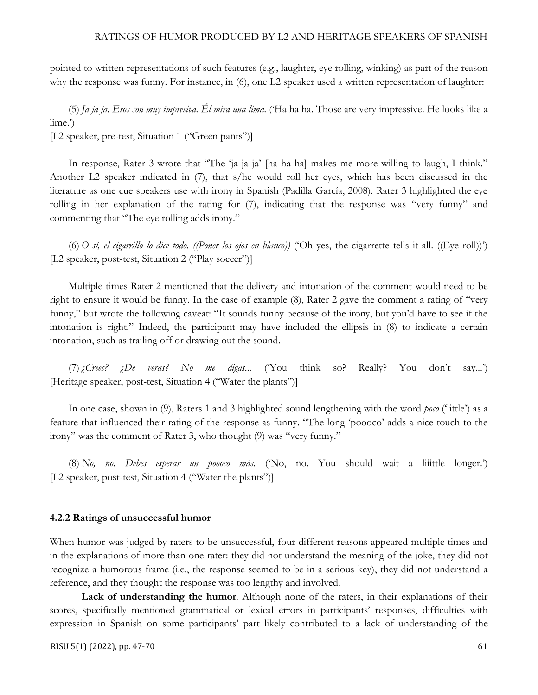pointed to written representations of such features (e.g., laughter, eye rolling, winking) as part of the reason why the response was funny. For instance, in  $(6)$ , one L2 speaker used a written representation of laughter:

(5) *Ja ja ja. Esos son muy impresiva. Él mira una lima*. ('Ha ha ha. Those are very impressive. He looks like a lime.')

[L2 speaker, pre-test, Situation 1 ("Green pants")]

In response, Rater 3 wrote that "The 'ja ja ja' [ha ha ha] makes me more willing to laugh, I think." Another L2 speaker indicated in (7), that s/he would roll her eyes, which has been discussed in the literature as one cue speakers use with irony in Spanish (Padilla García, 2008). Rater 3 highlighted the eye rolling in her explanation of the rating for (7), indicating that the response was "very funny" and commenting that "The eye rolling adds irony."

(6) *O sí, el cigarrillo lo dice todo. ((Poner los ojos en blanco))* ('Oh yes, the cigarrette tells it all. ((Eye roll))') [L2 speaker, post-test, Situation 2 ("Play soccer")]

Multiple times Rater 2 mentioned that the delivery and intonation of the comment would need to be right to ensure it would be funny. In the case of example (8), Rater 2 gave the comment a rating of "very funny," but wrote the following caveat: "It sounds funny because of the irony, but you'd have to see if the intonation is right." Indeed, the participant may have included the ellipsis in (8) to indicate a certain intonation, such as trailing off or drawing out the sound.

(7)*¿Crees? ¿De veras? No me digas...* ('You think so? Really? You don't say...') [Heritage speaker, post-test, Situation 4 ("Water the plants")]

In one case, shown in (9), Raters 1 and 3 highlighted sound lengthening with the word *poco* ('little') as a feature that influenced their rating of the response as funny. "The long 'poooco' adds a nice touch to the irony" was the comment of Rater 3, who thought (9) was "very funny."

(8) *No, no. Debes esperar un poooco más*. ('No, no. You should wait a liiittle longer.') [L2 speaker, post-test, Situation 4 ("Water the plants")]

#### **4.2.2 Ratings of unsuccessful humor**

When humor was judged by raters to be unsuccessful, four different reasons appeared multiple times and in the explanations of more than one rater: they did not understand the meaning of the joke, they did not recognize a humorous frame (i.e., the response seemed to be in a serious key), they did not understand a reference, and they thought the response was too lengthy and involved.

Lack of understanding the humor. Although none of the raters, in their explanations of their scores, specifically mentioned grammatical or lexical errors in participants' responses, difficulties with expression in Spanish on some participants' part likely contributed to a lack of understanding of the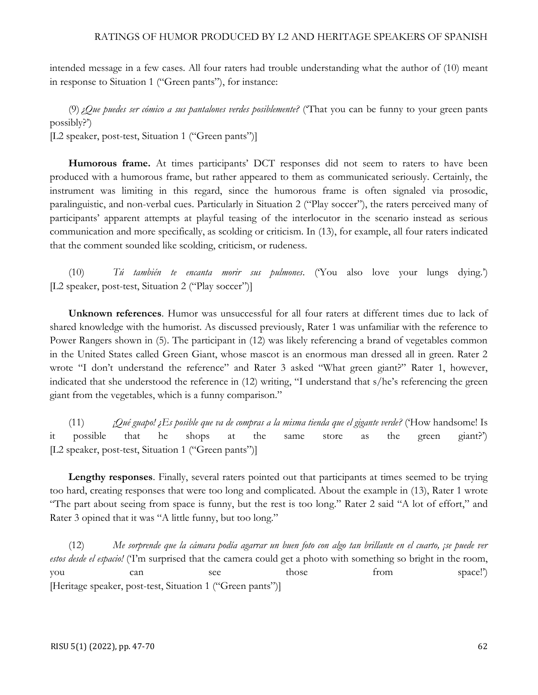intended message in a few cases. All four raters had trouble understanding what the author of (10) meant in response to Situation 1 ("Green pants"), for instance:

(9)*¿Que puedes ser cómico a sus pantalones verdes posiblemente?* ('That you can be funny to your green pants possibly?')

[L2 speaker, post-test, Situation 1 ("Green pants")]

**Humorous frame.** At times participants' DCT responses did not seem to raters to have been produced with a humorous frame, but rather appeared to them as communicated seriously. Certainly, the instrument was limiting in this regard, since the humorous frame is often signaled via prosodic, paralinguistic, and non-verbal cues. Particularly in Situation 2 ("Play soccer"), the raters perceived many of participants' apparent attempts at playful teasing of the interlocutor in the scenario instead as serious communication and more specifically, as scolding or criticism. In (13), for example, all four raters indicated that the comment sounded like scolding, criticism, or rudeness.

(10) *Tú también te encanta morir sus pulmones*. ('You also love your lungs dying.') [L2 speaker, post-test, Situation 2 ("Play soccer")]

**Unknown references**. Humor was unsuccessful for all four raters at different times due to lack of shared knowledge with the humorist. As discussed previously, Rater 1 was unfamiliar with the reference to Power Rangers shown in (5). The participant in (12) was likely referencing a brand of vegetables common in the United States called Green Giant, whose mascot is an enormous man dressed all in green. Rater 2 wrote "I don't understand the reference" and Rater 3 asked "What green giant?" Rater 1, however, indicated that she understood the reference in (12) writing, "I understand that s/he's referencing the green giant from the vegetables, which is a funny comparison."

(11) *¡Qué guapo! ¿Es posible que va de compras a la misma tienda que el gigante verde?* ('How handsome! Is it possible that he shops at the same store as the green giant?') [L2 speaker, post-test, Situation 1 ("Green pants")]

**Lengthy responses**. Finally, several raters pointed out that participants at times seemed to be trying too hard, creating responses that were too long and complicated. About the example in (13), Rater 1 wrote "The part about seeing from space is funny, but the rest is too long." Rater 2 said "A lot of effort," and Rater 3 opined that it was "A little funny, but too long."

(12) *Me sorprende que la cámara podía agarrar un buen foto con algo tan brillante en el cuarto, ¡se puede ver estos desde el espacio!* ('I'm surprised that the camera could get a photo with something so bright in the room, you can see those from space!') [Heritage speaker, post-test, Situation 1 ("Green pants")]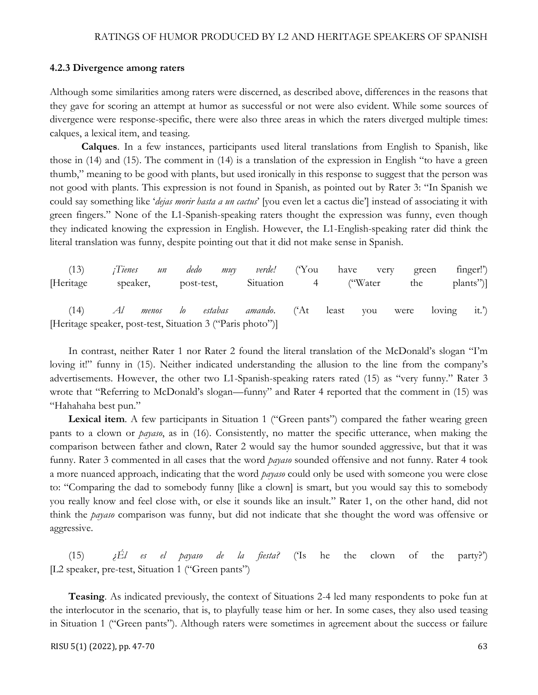#### **4.2.3 Divergence among raters**

Although some similarities among raters were discerned, as described above, differences in the reasons that they gave for scoring an attempt at humor as successful or not were also evident. While some sources of divergence were response-specific, there were also three areas in which the raters diverged multiple times: calques, a lexical item, and teasing.

**Calques**. In a few instances, participants used literal translations from English to Spanish, like those in (14) and (15). The comment in (14) is a translation of the expression in English "to have a green thumb," meaning to be good with plants, but used ironically in this response to suggest that the person was not good with plants. This expression is not found in Spanish, as pointed out by Rater 3: "In Spanish we could say something like '*dejas morir hasta a un cactus*' [you even let a cactus die'] instead of associating it with green fingers." None of the L1-Spanish-speaking raters thought the expression was funny, even though they indicated knowing the expression in English. However, the L1-English-speaking rater did think the literal translation was funny, despite pointing out that it did not make sense in Spanish.

|                                                            |  |  | (13) <i>Tienes un dedo muy verde!</i> ('You have very green finger!') |  |  |           |
|------------------------------------------------------------|--|--|-----------------------------------------------------------------------|--|--|-----------|
| [Heritage]                                                 |  |  | speaker, post-test, Situation 4 ("Water the                           |  |  | plants")] |
|                                                            |  |  | (14) Al menos lo estabas amando. ('At least you were loving it.')     |  |  |           |
| [Heritage speaker, post-test, Situation 3 ("Paris photo")] |  |  |                                                                       |  |  |           |

In contrast, neither Rater 1 nor Rater 2 found the literal translation of the McDonald's slogan "I'm loving it!" funny in (15). Neither indicated understanding the allusion to the line from the company's advertisements. However, the other two L1-Spanish-speaking raters rated (15) as "very funny." Rater 3 wrote that "Referring to McDonald's slogan—funny" and Rater 4 reported that the comment in (15) was "Hahahaha best pun."

Lexical item. A few participants in Situation 1 ("Green pants") compared the father wearing green pants to a clown or *payaso*, as in (16). Consistently, no matter the specific utterance, when making the comparison between father and clown, Rater 2 would say the humor sounded aggressive, but that it was funny. Rater 3 commented in all cases that the word *payaso* sounded offensive and not funny. Rater 4 took a more nuanced approach, indicating that the word *payaso* could only be used with someone you were close to: "Comparing the dad to somebody funny [like a clown] is smart, but you would say this to somebody you really know and feel close with, or else it sounds like an insult." Rater 1, on the other hand, did not think the *payaso* comparison was funny, but did not indicate that she thought the word was offensive or aggressive.

(15) *¿Él es el payaso de la fiesta?* ('Is he the clown of the party?') [L2 speaker, pre-test, Situation 1 ("Green pants")

**Teasing**. As indicated previously, the context of Situations 2-4 led many respondents to poke fun at the interlocutor in the scenario, that is, to playfully tease him or her. In some cases, they also used teasing in Situation 1 ("Green pants"). Although raters were sometimes in agreement about the success or failure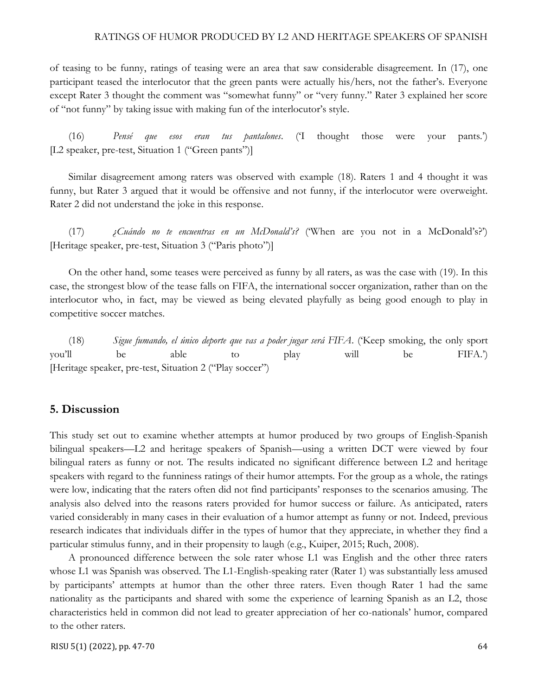of teasing to be funny, ratings of teasing were an area that saw considerable disagreement. In (17), one participant teased the interlocutor that the green pants were actually his/hers, not the father's. Everyone except Rater 3 thought the comment was "somewhat funny" or "very funny." Rater 3 explained her score of "not funny" by taking issue with making fun of the interlocutor's style.

(16) *Pensé que esos eran tus pantalones*. ('I thought those were your pants.') [L2 speaker, pre-test, Situation 1 ("Green pants")]

Similar disagreement among raters was observed with example (18). Raters 1 and 4 thought it was funny, but Rater 3 argued that it would be offensive and not funny, if the interlocutor were overweight. Rater 2 did not understand the joke in this response.

(17) *¿Cuándo no te encuentras en un McDonald's?* ('When are you not in a McDonald's?') [Heritage speaker, pre-test, Situation 3 ("Paris photo")]

On the other hand, some teases were perceived as funny by all raters, as was the case with (19). In this case, the strongest blow of the tease falls on FIFA, the international soccer organization, rather than on the interlocutor who, in fact, may be viewed as being elevated playfully as being good enough to play in competitive soccer matches.

(18) *Sigue fumando, el único deporte que vas a poder jugar será FIFA*. ('Keep smoking, the only sport you'll be able to play will be FIFA.') [Heritage speaker, pre-test, Situation 2 ("Play soccer")

# **5. Discussion**

This study set out to examine whether attempts at humor produced by two groups of English-Spanish bilingual speakers—L2 and heritage speakers of Spanish—using a written DCT were viewed by four bilingual raters as funny or not. The results indicated no significant difference between L2 and heritage speakers with regard to the funniness ratings of their humor attempts. For the group as a whole, the ratings were low, indicating that the raters often did not find participants' responses to the scenarios amusing. The analysis also delved into the reasons raters provided for humor success or failure. As anticipated, raters varied considerably in many cases in their evaluation of a humor attempt as funny or not. Indeed, previous research indicates that individuals differ in the types of humor that they appreciate, in whether they find a particular stimulus funny, and in their propensity to laugh (e.g., Kuiper, 2015; Ruch, 2008).

A pronounced difference between the sole rater whose L1 was English and the other three raters whose L1 was Spanish was observed. The L1-English-speaking rater (Rater 1) was substantially less amused by participants' attempts at humor than the other three raters. Even though Rater 1 had the same nationality as the participants and shared with some the experience of learning Spanish as an L2, those characteristics held in common did not lead to greater appreciation of her co-nationals' humor, compared to the other raters.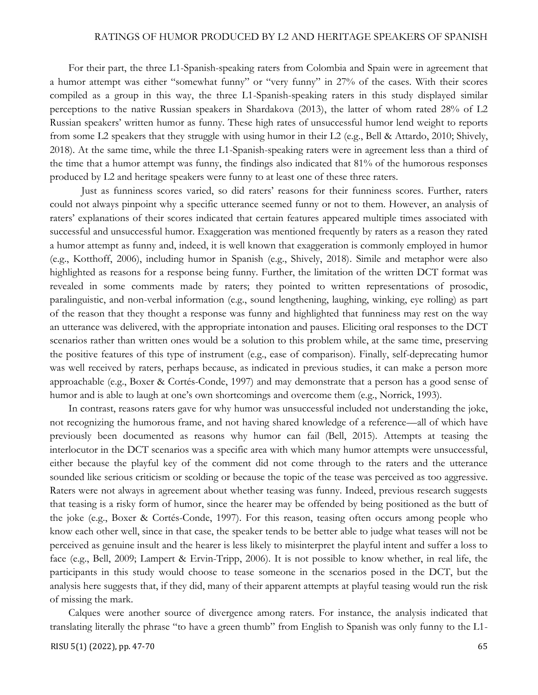For their part, the three L1-Spanish-speaking raters from Colombia and Spain were in agreement that a humor attempt was either "somewhat funny" or "very funny" in 27% of the cases. With their scores compiled as a group in this way, the three L1-Spanish-speaking raters in this study displayed similar perceptions to the native Russian speakers in Shardakova (2013), the latter of whom rated 28% of L2 Russian speakers' written humor as funny. These high rates of unsuccessful humor lend weight to reports from some L2 speakers that they struggle with using humor in their L2 (e.g., Bell & Attardo, 2010; Shively, 2018). At the same time, while the three L1-Spanish-speaking raters were in agreement less than a third of the time that a humor attempt was funny, the findings also indicated that 81% of the humorous responses produced by L2 and heritage speakers were funny to at least one of these three raters.

Just as funniness scores varied, so did raters' reasons for their funniness scores. Further, raters could not always pinpoint why a specific utterance seemed funny or not to them. However, an analysis of raters' explanations of their scores indicated that certain features appeared multiple times associated with successful and unsuccessful humor. Exaggeration was mentioned frequently by raters as a reason they rated a humor attempt as funny and, indeed, it is well known that exaggeration is commonly employed in humor (e.g., Kotthoff, 2006), including humor in Spanish (e.g., Shively, 2018). Simile and metaphor were also highlighted as reasons for a response being funny. Further, the limitation of the written DCT format was revealed in some comments made by raters; they pointed to written representations of prosodic, paralinguistic, and non-verbal information (e.g., sound lengthening, laughing, winking, eye rolling) as part of the reason that they thought a response was funny and highlighted that funniness may rest on the way an utterance was delivered, with the appropriate intonation and pauses. Eliciting oral responses to the DCT scenarios rather than written ones would be a solution to this problem while, at the same time, preserving the positive features of this type of instrument (e.g., ease of comparison). Finally, self-deprecating humor was well received by raters, perhaps because, as indicated in previous studies, it can make a person more approachable (e.g., Boxer & Cortés-Conde, 1997) and may demonstrate that a person has a good sense of humor and is able to laugh at one's own shortcomings and overcome them (e.g., Norrick, 1993).

In contrast, reasons raters gave for why humor was unsuccessful included not understanding the joke, not recognizing the humorous frame, and not having shared knowledge of a reference—all of which have previously been documented as reasons why humor can fail (Bell, 2015). Attempts at teasing the interlocutor in the DCT scenarios was a specific area with which many humor attempts were unsuccessful, either because the playful key of the comment did not come through to the raters and the utterance sounded like serious criticism or scolding or because the topic of the tease was perceived as too aggressive. Raters were not always in agreement about whether teasing was funny. Indeed, previous research suggests that teasing is a risky form of humor, since the hearer may be offended by being positioned as the butt of the joke (e.g., Boxer & Cortés-Conde, 1997). For this reason, teasing often occurs among people who know each other well, since in that case, the speaker tends to be better able to judge what teases will not be perceived as genuine insult and the hearer is less likely to misinterpret the playful intent and suffer a loss to face (e.g., Bell, 2009; Lampert & Ervin-Tripp, 2006). It is not possible to know whether, in real life, the participants in this study would choose to tease someone in the scenarios posed in the DCT, but the analysis here suggests that, if they did, many of their apparent attempts at playful teasing would run the risk of missing the mark.

Calques were another source of divergence among raters. For instance, the analysis indicated that translating literally the phrase "to have a green thumb" from English to Spanish was only funny to the L1-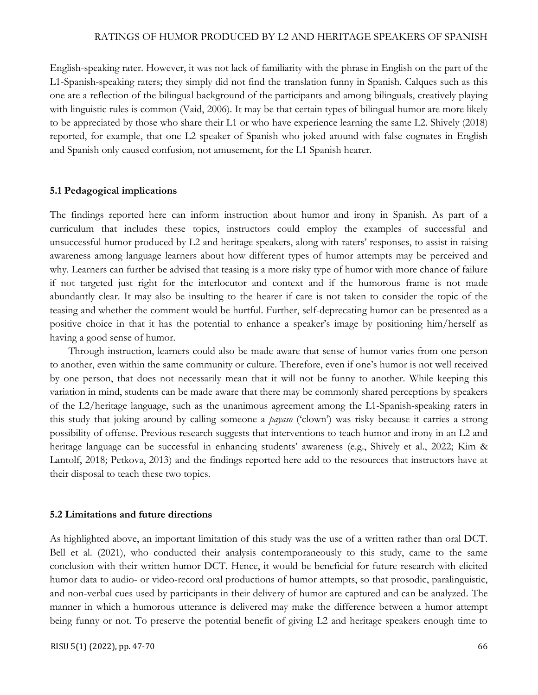English-speaking rater. However, it was not lack of familiarity with the phrase in English on the part of the L1-Spanish-speaking raters; they simply did not find the translation funny in Spanish. Calques such as this one are a reflection of the bilingual background of the participants and among bilinguals, creatively playing with linguistic rules is common (Vaid, 2006). It may be that certain types of bilingual humor are more likely to be appreciated by those who share their L1 or who have experience learning the same L2. Shively (2018) reported, for example, that one L2 speaker of Spanish who joked around with false cognates in English and Spanish only caused confusion, not amusement, for the L1 Spanish hearer.

#### **5.1 Pedagogical implications**

The findings reported here can inform instruction about humor and irony in Spanish. As part of a curriculum that includes these topics, instructors could employ the examples of successful and unsuccessful humor produced by L2 and heritage speakers, along with raters' responses, to assist in raising awareness among language learners about how different types of humor attempts may be perceived and why. Learners can further be advised that teasing is a more risky type of humor with more chance of failure if not targeted just right for the interlocutor and context and if the humorous frame is not made abundantly clear. It may also be insulting to the hearer if care is not taken to consider the topic of the teasing and whether the comment would be hurtful. Further, self-deprecating humor can be presented as a positive choice in that it has the potential to enhance a speaker's image by positioning him/herself as having a good sense of humor.

Through instruction, learners could also be made aware that sense of humor varies from one person to another, even within the same community or culture. Therefore, even if one's humor is not well received by one person, that does not necessarily mean that it will not be funny to another. While keeping this variation in mind, students can be made aware that there may be commonly shared perceptions by speakers of the L2/heritage language, such as the unanimous agreement among the L1-Spanish-speaking raters in this study that joking around by calling someone a *payaso* ('clown') was risky because it carries a strong possibility of offense. Previous research suggests that interventions to teach humor and irony in an L2 and heritage language can be successful in enhancing students' awareness (e.g., Shively et al., 2022; Kim & Lantolf, 2018; Petkova, 2013) and the findings reported here add to the resources that instructors have at their disposal to teach these two topics.

#### **5.2 Limitations and future directions**

As highlighted above, an important limitation of this study was the use of a written rather than oral DCT. Bell et al. (2021), who conducted their analysis contemporaneously to this study, came to the same conclusion with their written humor DCT. Hence, it would be beneficial for future research with elicited humor data to audio- or video-record oral productions of humor attempts, so that prosodic, paralinguistic, and non-verbal cues used by participants in their delivery of humor are captured and can be analyzed. The manner in which a humorous utterance is delivered may make the difference between a humor attempt being funny or not. To preserve the potential benefit of giving L2 and heritage speakers enough time to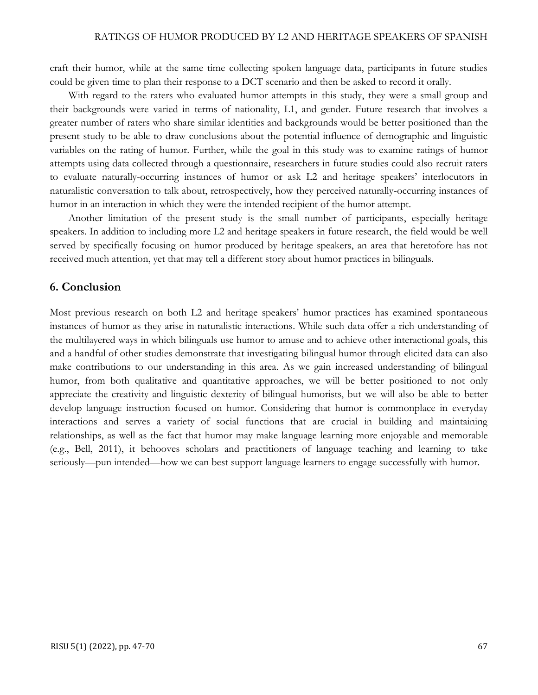craft their humor, while at the same time collecting spoken language data, participants in future studies could be given time to plan their response to a DCT scenario and then be asked to record it orally.

With regard to the raters who evaluated humor attempts in this study, they were a small group and their backgrounds were varied in terms of nationality, L1, and gender. Future research that involves a greater number of raters who share similar identities and backgrounds would be better positioned than the present study to be able to draw conclusions about the potential influence of demographic and linguistic variables on the rating of humor. Further, while the goal in this study was to examine ratings of humor attempts using data collected through a questionnaire, researchers in future studies could also recruit raters to evaluate naturally-occurring instances of humor or ask L2 and heritage speakers' interlocutors in naturalistic conversation to talk about, retrospectively, how they perceived naturally-occurring instances of humor in an interaction in which they were the intended recipient of the humor attempt.

Another limitation of the present study is the small number of participants, especially heritage speakers. In addition to including more L2 and heritage speakers in future research, the field would be well served by specifically focusing on humor produced by heritage speakers, an area that heretofore has not received much attention, yet that may tell a different story about humor practices in bilinguals.

### **6. Conclusion**

Most previous research on both L2 and heritage speakers' humor practices has examined spontaneous instances of humor as they arise in naturalistic interactions. While such data offer a rich understanding of the multilayered ways in which bilinguals use humor to amuse and to achieve other interactional goals, this and a handful of other studies demonstrate that investigating bilingual humor through elicited data can also make contributions to our understanding in this area. As we gain increased understanding of bilingual humor, from both qualitative and quantitative approaches, we will be better positioned to not only appreciate the creativity and linguistic dexterity of bilingual humorists, but we will also be able to better develop language instruction focused on humor. Considering that humor is commonplace in everyday interactions and serves a variety of social functions that are crucial in building and maintaining relationships, as well as the fact that humor may make language learning more enjoyable and memorable (e.g., Bell, 2011), it behooves scholars and practitioners of language teaching and learning to take seriously—pun intended—how we can best support language learners to engage successfully with humor.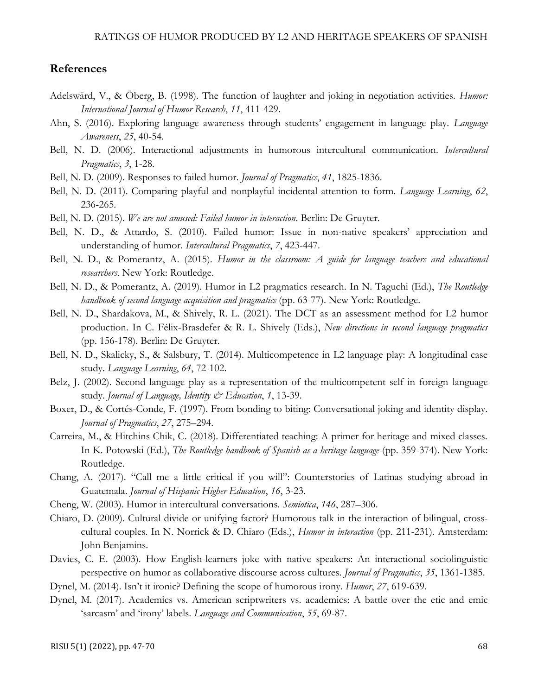# **References**

- Adelswärd, V., & Öberg, B. (1998). The function of laughter and joking in negotiation activities. *Humor: International Journal of Humor Research*, *11*, 411-429.
- Ahn, S. (2016). Exploring language awareness through students' engagement in language play. *Language Awareness*, *25*, 40-54.
- Bell, N. D. (2006). Interactional adjustments in humorous intercultural communication. *Intercultural Pragmatics*, *3*, 1-28.
- Bell, N. D. (2009). Responses to failed humor. *Journal of Pragmatics*, *41*, 1825-1836.
- Bell, N. D. (2011). Comparing playful and nonplayful incidental attention to form. *Language Learning*, *62*, 236-265.
- Bell, N. D. (2015). *We are not amused: Failed humor in interaction*. Berlin: De Gruyter.
- Bell, N. D., & Attardo, S. (2010). Failed humor: Issue in non-native speakers' appreciation and understanding of humor. *Intercultural Pragmatics*, *7*, 423-447.
- Bell, N. D., & Pomerantz, A. (2015). *Humor in the classroom: A guide for language teachers and educational researchers*. New York: Routledge.
- Bell, N. D., & Pomerantz, A. (2019). Humor in L2 pragmatics research. In N. Taguchi (Ed.), *The Routledge handbook of second language acquisition and pragmatics* (pp. 63-77). New York: Routledge.
- Bell, N. D., Shardakova, M., & Shively, R. L. (2021). The DCT as an assessment method for L2 humor production. In C. Félix-Brasdefer & R. L. Shively (Eds.), *New directions in second language pragmatics* (pp. 156-178). Berlin: De Gruyter.
- Bell, N. D., Skalicky, S., & Salsbury, T. (2014). Multicompetence in L2 language play: A longitudinal case study. *Language Learning*, *64*, 72-102.
- Belz, J. (2002). Second language play as a representation of the multicompetent self in foreign language study. *Journal of Language, Identity & Education*, *1*, 13-39.
- Boxer, D., & Cortés-Conde, F. (1997). From bonding to biting: Conversational joking and identity display. *Journal of Pragmatics*, *27*, 275–294.
- Carreira, M., & Hitchins Chik, C. (2018). Differentiated teaching: A primer for heritage and mixed classes. In K. Potowski (Ed.), *The Routledge handbook of Spanish as a heritage language* (pp. 359-374). New York: Routledge.
- Chang, A. (2017). "Call me a little critical if you will": Counterstories of Latinas studying abroad in Guatemala. *Journal of Hispanic Higher Education*, *16*, 3-23.
- Cheng, W. (2003). Humor in intercultural conversations. *Semiotica*, *146*, 287–306.
- Chiaro, D. (2009). Cultural divide or unifying factor? Humorous talk in the interaction of bilingual, crosscultural couples. In N. Norrick & D. Chiaro (Eds.), *Humor in interaction* (pp. 211-231). Amsterdam: John Benjamins.
- Davies, C. E. (2003). How English-learners joke with native speakers: An interactional sociolinguistic perspective on humor as collaborative discourse across cultures*. Journal of Pragmatics*, *35*, 1361-1385.
- Dynel, M. (2014). Isn't it ironic? Defining the scope of humorous irony. *Humor*, *27*, 619-639.
- Dynel, M. (2017). Academics vs. American scriptwriters vs. academics: A battle over the etic and emic 'sarcasm' and 'irony' labels. *Language and Communication*, *55*, 69-87.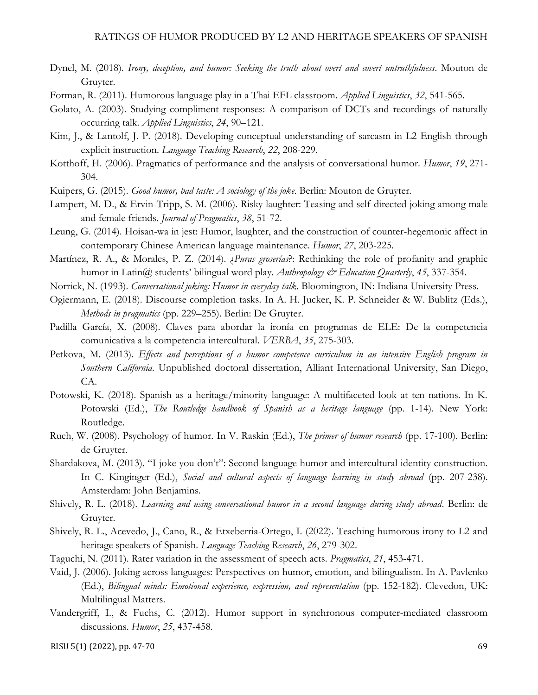- Dynel, M. (2018). *Irony, deception, and humor: Seeking the truth about overt and covert untruthfulness*. Mouton de Gruyter.
- Forman, R. (2011). Humorous language play in a Thai EFL classroom. *Applied Linguistics*, *32*, 541-565.
- Golato, A. (2003). Studying compliment responses: A comparison of DCTs and recordings of naturally occurring talk. *Applied Linguistics*, *24*, 90–121.
- Kim, J., & Lantolf, J. P. (2018). Developing conceptual understanding of sarcasm in L2 English through explicit instruction. *Language Teaching Research*, *22*, 208-229.
- Kotthoff, H. (2006). Pragmatics of performance and the analysis of conversational humor. *Humor*, *19*, 271- 304.
- Kuipers, G. (2015). *Good humor, bad taste: A sociology of the joke*. Berlin: Mouton de Gruyter.
- Lampert, M. D., & Ervin-Tripp, S. M. (2006). Risky laughter: Teasing and self-directed joking among male and female friends. *Journal of Pragmatics*, *38*, 51-72.
- Leung, G. (2014). Hoisan-wa in jest: Humor, laughter, and the construction of counter-hegemonic affect in contemporary Chinese American language maintenance. *Humor*, *27*, 203-225.
- Martínez, R. A., & Morales, P. Z. (2014). ¿*Puras groserías*?: Rethinking the role of profanity and graphic humor in Latin@ students' bilingual word play. *Anthropology & Education Quarterly*, *45*, 337-354.
- Norrick, N. (1993). *Conversational joking: Humor in everyday talk*. Bloomington, IN: Indiana University Press.
- Ogiermann, E. (2018). Discourse completion tasks. In A. H. Jucker, K. P. Schneider & W. Bublitz (Eds.), *Methods in pragmatics* (pp. 229–255). Berlin: De Gruyter.
- Padilla García, X. (2008). Claves para abordar la ironía en programas de ELE: De la competencia comunicativa a la competencia intercultural. *VERBA*, *35*, 275-303.
- Petkova, M. (2013). *Effects and perceptions of a humor competence curriculum in an intensive English program in Southern California*. Unpublished doctoral dissertation, Alliant International University, San Diego, CA.
- Potowski, K. (2018). Spanish as a heritage/minority language: A multifaceted look at ten nations. In K. Potowski (Ed.), *The Routledge handbook of Spanish as a heritage language* (pp. 1-14). New York: Routledge.
- Ruch, W. (2008). Psychology of humor. In V. Raskin (Ed.), *The primer of humor research* (pp. 17-100). Berlin: de Gruyter.
- Shardakova, M. (2013). "I joke you don't": Second language humor and intercultural identity construction. In C. Kinginger (Ed.), *Social and cultural aspects of language learning in study abroad* (pp. 207-238). Amsterdam: John Benjamins.
- Shively, R. L. (2018). *Learning and using conversational humor in a second language during study abroad*. Berlin: de Gruyter.
- Shively, R. L., Acevedo, J., Cano, R., & Etxeberria-Ortego, I. (2022). Teaching humorous irony to L2 and heritage speakers of Spanish. *Language Teaching Research*, *26*, 279-302.
- Taguchi, N. (2011). Rater variation in the assessment of speech acts. *Pragmatics*, *21*, 453-471.
- Vaid, J. (2006). Joking across languages: Perspectives on humor, emotion, and bilingualism. In A. Pavlenko (Ed.), *Bilingual minds: Emotional experience, expression, and representation* (pp. 152-182). Clevedon, UK: Multilingual Matters.
- Vandergriff, I., & Fuchs, C. (2012). Humor support in synchronous computer-mediated classroom discussions. *Humor*, *25*, 437-458.